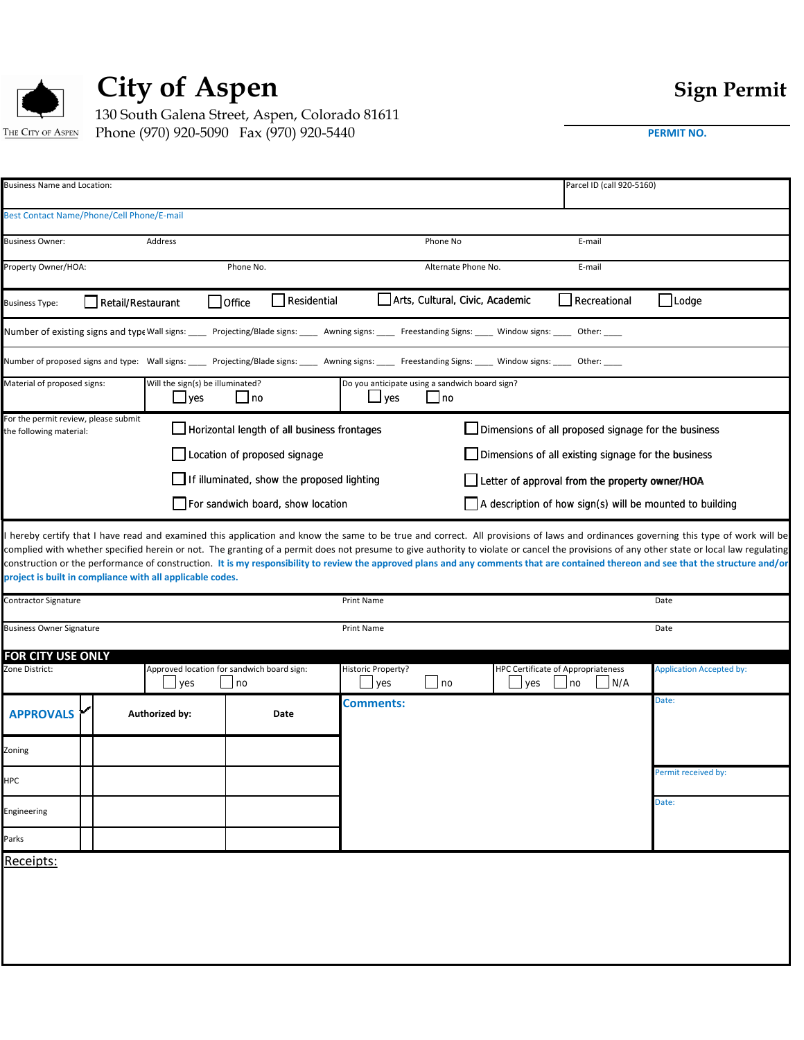

## City of Aspen **Sign Permit**

130 South Galena Street, Aspen, Colorado 81611 Phone (970) 920-5090 Fax (970) 920-5440 THE CITY OF ASPEN

|  | PERMIT NO. |  |
|--|------------|--|
|  |            |  |

| <b>Business Name and Location:</b>                              |                                                           |                                                  |                                                                                                                                                                  |                                                                 | Parcel ID (call 920-5160)                          |                                 |
|-----------------------------------------------------------------|-----------------------------------------------------------|--------------------------------------------------|------------------------------------------------------------------------------------------------------------------------------------------------------------------|-----------------------------------------------------------------|----------------------------------------------------|---------------------------------|
| Best Contact Name/Phone/Cell Phone/E-mail                       |                                                           |                                                  |                                                                                                                                                                  |                                                                 |                                                    |                                 |
| <b>Business Owner:</b>                                          | Address                                                   |                                                  |                                                                                                                                                                  | Phone No                                                        | E-mail                                             |                                 |
| Property Owner/HOA:                                             |                                                           | Phone No.                                        |                                                                                                                                                                  | Alternate Phone No.                                             | E-mail                                             |                                 |
| <b>Business Type:</b>                                           | Retail/Restaurant                                         | Residential<br>$\Box$ Office                     |                                                                                                                                                                  | Arts, Cultural, Civic, Academic                                 | $\Box$ Recreational                                | $\bigsqcup$ Lodge               |
|                                                                 |                                                           |                                                  | Number of existing signs and type Wall signs: _____ Projecting/Blade signs: _____ Awning signs: _____ Freestanding Signs: _____ Window signs: _____ Other: _____ |                                                                 |                                                    |                                 |
|                                                                 |                                                           |                                                  | Number of proposed signs and type: Wall signs: _____ Projecting/Blade signs: _____ Awning signs: _____ Freestanding Signs: _____ Window signs: ____ Other: ____  |                                                                 |                                                    |                                 |
| Material of proposed signs:                                     | Will the sign(s) be illuminated?<br>$\Box$ yes            | $\Box$ no                                        | Do you anticipate using a sandwich board sign?<br>$\Box$ yes                                                                                                     | __I no                                                          |                                                    |                                 |
| For the permit review, please submit<br>the following material: |                                                           | Horizontal length of all business frontages      |                                                                                                                                                                  | Dimensions of all proposed signage for the business             |                                                    |                                 |
|                                                                 |                                                           | Location of proposed signage                     |                                                                                                                                                                  | Dimensions of all existing signage for the business             |                                                    |                                 |
|                                                                 |                                                           | If illuminated, show the proposed lighting       |                                                                                                                                                                  | Letter of approval from the property owner/HOA                  |                                                    |                                 |
|                                                                 |                                                           | For sandwich board, show location                |                                                                                                                                                                  | $\Box$ A description of how sign(s) will be mounted to building |                                                    |                                 |
| Contractor Signature                                            | project is built in compliance with all applicable codes. |                                                  | Print Name<br>Print Name                                                                                                                                         |                                                                 |                                                    | Date                            |
| <b>Business Owner Signature</b>                                 |                                                           |                                                  |                                                                                                                                                                  |                                                                 |                                                    | Date                            |
| FOR CITY USE ONLY<br>Zone District:                             | yes                                                       | Approved location for sandwich board sign:<br>no | <b>Historic Property?</b><br>$\frac{1}{2}$ yes                                                                                                                   | no<br>$\Box$ yes                                                | HPC Certificate of Appropriateness<br> no <br> N/A | <b>Application Accepted by:</b> |
| <b>APPROVALS</b>                                                | Authorized by:                                            | Date                                             | <b>Comments:</b>                                                                                                                                                 |                                                                 |                                                    | Date:                           |
| Zoning                                                          |                                                           |                                                  |                                                                                                                                                                  |                                                                 |                                                    |                                 |
| HPC                                                             |                                                           |                                                  |                                                                                                                                                                  |                                                                 |                                                    | Permit received by:             |
| Engineering                                                     |                                                           |                                                  |                                                                                                                                                                  |                                                                 |                                                    | Date:                           |
| Parks                                                           |                                                           |                                                  |                                                                                                                                                                  |                                                                 |                                                    |                                 |
| Receipts:                                                       |                                                           |                                                  |                                                                                                                                                                  |                                                                 |                                                    |                                 |
|                                                                 |                                                           |                                                  |                                                                                                                                                                  |                                                                 |                                                    |                                 |
|                                                                 |                                                           |                                                  |                                                                                                                                                                  |                                                                 |                                                    |                                 |
|                                                                 |                                                           |                                                  |                                                                                                                                                                  |                                                                 |                                                    |                                 |
|                                                                 |                                                           |                                                  |                                                                                                                                                                  |                                                                 |                                                    |                                 |
|                                                                 |                                                           |                                                  |                                                                                                                                                                  |                                                                 |                                                    |                                 |